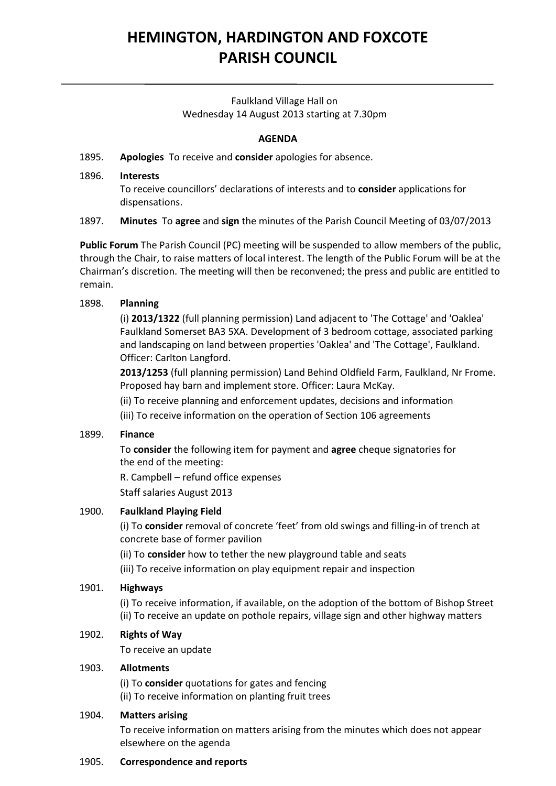# **HEMINGTON, HARDINGTON AND FOXCOTE PARISH COUNCIL**

## Faulkland Village Hall on Wednesday 14 August 2013 starting at 7.30pm

## **AGENDA**

## 1895. **Apologies** To receive and **consider** apologies for absence.

#### 1896. **Interests**

To receive councillors' declarations of interests and to **consider** applications for dispensations.

#### 1897. **Minutes** To **agree** and **sign** the minutes of the Parish Council Meeting of 03/07/2013

**Public Forum** The Parish Council (PC) meeting will be suspended to allow members of the public, through the Chair, to raise matters of local interest. The length of the Public Forum will be at the Chairman's discretion. The meeting will then be reconvened; the press and public are entitled to remain.

#### 1898. **Planning**

(i) **2013/1322** (full planning permission) Land adjacent to 'The Cottage' and 'Oaklea' Faulkland Somerset BA3 5XA. Development of 3 bedroom cottage, associated parking and landscaping on land between properties 'Oaklea' and 'The Cottage', Faulkland. Officer: Carlton Langford.

**2013/1253** (full planning permission) Land Behind Oldfield Farm, Faulkland, Nr Frome. Proposed hay barn and implement store. Officer: Laura McKay.

(ii) To receive planning and enforcement updates, decisions and information

(iii) To receive information on the operation of Section 106 agreements

#### 1899. **Finance**

To **consider** the following item for payment and **agree** cheque signatories for the end of the meeting:

R. Campbell – refund office expenses

Staff salaries August 2013

#### 1900. **Faulkland Playing Field**

(i) To **consider** removal of concrete 'feet' from old swings and filling-in of trench at concrete base of former pavilion

(ii) To **consider** how to tether the new playground table and seats

(iii) To receive information on play equipment repair and inspection

## 1901. **Highways**

(i) To receive information, if available, on the adoption of the bottom of Bishop Street (ii) To receive an update on pothole repairs, village sign and other highway matters

#### 1902. **Rights of Way**

To receive an update

#### 1903. **Allotments**

(i) To **consider** quotations for gates and fencing (ii) To receive information on planting fruit trees

#### 1904. **Matters arising**

To receive information on matters arising from the minutes which does not appear elsewhere on the agenda

#### 1905. **Correspondence and reports**